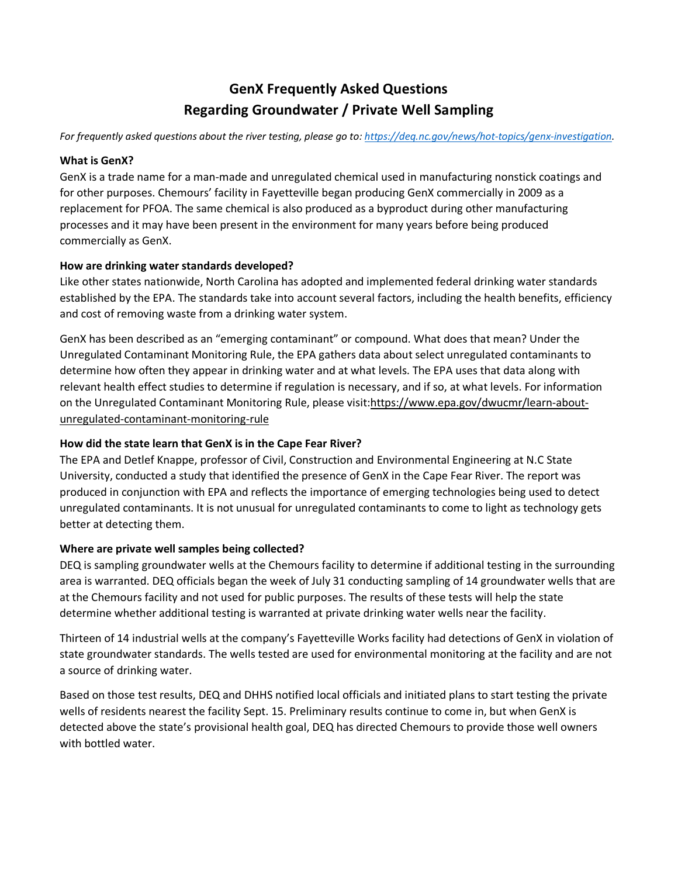# **GenX Frequently Asked Questions Regarding Groundwater / Private Well Sampling**

*For frequently asked questions about the river testing, please go to[: https://deq.nc.gov/news/hot-topics/genx-investigation.](https://deq.nc.gov/news/hot-topics/genx-investigation)* 

#### **What is GenX?**

GenX is a trade name for a man-made and unregulated chemical used in manufacturing nonstick coatings and for other purposes. Chemours' facility in Fayetteville began producing GenX commercially in 2009 as a replacement for PFOA. The same chemical is also produced as a byproduct during other manufacturing processes and it may have been present in the environment for many years before being produced commercially as GenX.

#### **How are drinking water standards developed?**

Like other states nationwide, North Carolina has adopted and implemented federal drinking water standards established by the EPA. The standards take into account several factors, including the health benefits, efficiency and cost of removing waste from a drinking water system.

GenX has been described as an "emerging contaminant" or compound. What does that mean? Under the Unregulated Contaminant Monitoring Rule, the EPA gathers data about select unregulated contaminants to determine how often they appear in drinking water and at what levels. The EPA uses that data along with relevant health effect studies to determine if regulation is necessary, and if so, at what levels. For information on the Unregulated Contaminant Monitoring Rule, please visit:https://www.epa.gov/dwucmr/learn-aboutunregulated-contaminant-monitoring-rule

## **How did the state learn that GenX is in the Cape Fear River?**

The EPA and Detlef Knappe, professor of Civil, Construction and Environmental Engineering at N.C State University, conducted a study that identified the presence of GenX in the Cape Fear River. The report was produced in conjunction with EPA and reflects the importance of emerging technologies being used to detect unregulated contaminants. It is not unusual for unregulated contaminants to come to light as technology gets better at detecting them.

## **Where are private well samples being collected?**

DEQ is sampling groundwater wells at the Chemours facility to determine if additional testing in the surrounding area is warranted. DEQ officials began the week of July 31 conducting sampling of 14 groundwater wells that are at the Chemours facility and not used for public purposes. The results of these tests will help the state determine whether additional testing is warranted at private drinking water wells near the facility.

Thirteen of 14 industrial wells at the company's Fayetteville Works facility had detections of GenX in violation of state groundwater standards. The wells tested are used for environmental monitoring at the facility and are not a source of drinking water.

Based on those test results, DEQ and DHHS notified local officials and initiated plans to start testing the private wells of residents nearest the facility Sept. 15. Preliminary results continue to come in, but when GenX is detected above the state's provisional health goal, DEQ has directed Chemours to provide those well owners with bottled water.